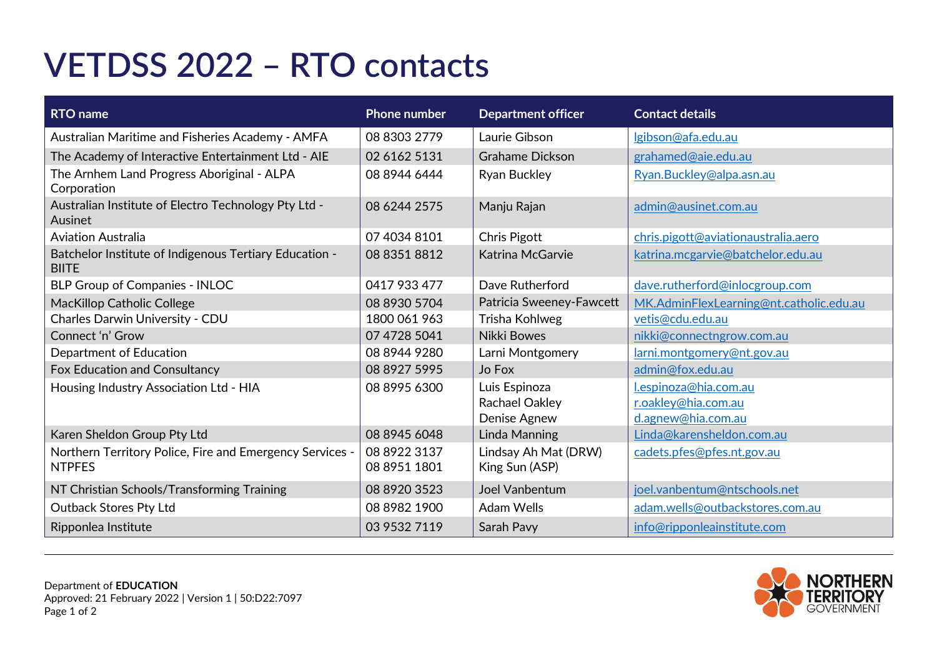## **VETDSS 2022 – RTO contacts**

| <b>RTO</b> name                                                           | <b>Phone number</b>          | <b>Department officer</b>              | <b>Contact details</b>                  |
|---------------------------------------------------------------------------|------------------------------|----------------------------------------|-----------------------------------------|
| Australian Maritime and Fisheries Academy - AMFA                          | 08 8303 2779                 | Laurie Gibson                          | Igibson@afa.edu.au                      |
| The Academy of Interactive Entertainment Ltd - AIE                        | 02 6162 5131                 | <b>Grahame Dickson</b>                 | grahamed@aie.edu.au                     |
| The Arnhem Land Progress Aboriginal - ALPA<br>Corporation                 | 08 8944 6444                 | <b>Ryan Buckley</b>                    | Ryan.Buckley@alpa.asn.au                |
| Australian Institute of Electro Technology Pty Ltd -<br>Ausinet           | 08 6244 2575                 | Manju Rajan                            | admin@ausinet.com.au                    |
| <b>Aviation Australia</b>                                                 | 07 4034 8101                 | Chris Pigott                           | chris.pigott@aviationaustralia.aero     |
| Batchelor Institute of Indigenous Tertiary Education -<br><b>BIITE</b>    | 08 8351 8812                 | Katrina McGarvie                       | katrina.mcgarvie@batchelor.edu.au       |
| <b>BLP Group of Companies - INLOC</b>                                     | 0417 933 477                 | Dave Rutherford                        | dave.rutherford@inlocgroup.com          |
| <b>MacKillop Catholic College</b>                                         | 08 8930 5704                 | Patricia Sweeney-Fawcett               | MK.AdminFlexLearning@nt.catholic.edu.au |
| Charles Darwin University - CDU                                           | 1800 061 963                 | Trisha Kohlweg                         | vetis@cdu.edu.au                        |
| Connect 'n' Grow                                                          | 07 4728 5041                 | Nikki Bowes                            | nikki@connectngrow.com.au               |
| <b>Department of Education</b>                                            | 08 8944 9280                 | Larni Montgomery                       | larni.montgomery@nt.gov.au              |
| Fox Education and Consultancy                                             | 08 8927 5995                 | Jo Fox                                 | admin@fox.edu.au                        |
| Housing Industry Association Ltd - HIA                                    | 08 8995 6300                 | Luis Espinoza                          | l.espinoza@hia.com.au                   |
|                                                                           |                              | Rachael Oakley                         | r.oakley@hia.com.au                     |
|                                                                           |                              | Denise Agnew                           | d.agnew@hia.com.au                      |
| Karen Sheldon Group Pty Ltd                                               | 08 8945 6048                 | <b>Linda Manning</b>                   | Linda@karensheldon.com.au               |
| Northern Territory Police, Fire and Emergency Services -<br><b>NTPFES</b> | 08 8922 3137<br>08 8951 1801 | Lindsay Ah Mat (DRW)<br>King Sun (ASP) | cadets.pfes@pfes.nt.gov.au              |
| NT Christian Schools/Transforming Training                                | 08 8920 3523                 | <b>Joel Vanbentum</b>                  | joel.vanbentum@ntschools.net            |
| <b>Outback Stores Pty Ltd</b>                                             | 08 8982 1900                 | <b>Adam Wells</b>                      | adam.wells@outbackstores.com.au         |
| Ripponlea Institute                                                       | 03 9532 7119                 | Sarah Pavy                             | info@ripponleainstitute.com             |